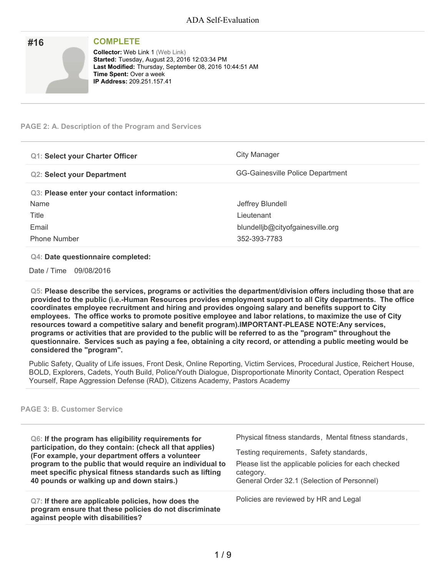| #16 | <b>COMPLETE</b>                                                                                                                                                                                                            |
|-----|----------------------------------------------------------------------------------------------------------------------------------------------------------------------------------------------------------------------------|
|     | <b>Collector: Web Link 1 (Web Link)</b><br>Started: Tuesday, August 23, 2016 12:03:34 PM<br>Last Modified: Thursday, September 08, 2016 10:44:51 AM<br><b>Time Spent: Over a week</b><br><b>IP Address: 209.251.157.41</b> |

### **PAGE 2: A. Description of the Program and Services**

| <b>Q1: Select your Charter Officer</b>     | City Manager                     |
|--------------------------------------------|----------------------------------|
| <b>Q2: Select your Department</b>          | GG-Gainesville Police Department |
| Q3: Please enter your contact information: |                                  |
| Name                                       | Jeffrey Blundell                 |
| Title                                      | Lieutenant                       |
| Email                                      | blundelljb@cityofgainesville.org |
| <b>Phone Number</b>                        | 352-393-7783                     |

#### **Q4: Date questionnaire completed:**

Date / Time 09/08/2016

**Q5: Please describe the services, programs or activities the department/division offers including those that are provided to the public (i.e.-Human Resources provides employment support to all City departments. The office coordinates employee recruitment and hiring and provides ongoing salary and benefits support to City employees. The office works to promote positive employee and labor relations, to maximize the use of City resources toward a competitive salary and benefit program).IMPORTANT-PLEASE NOTE:Any services,** programs or activities that are provided to the public will be referred to as the "program" throughout the questionnaire. Services such as paying a fee, obtaining a city record, or attending a public meeting would be **considered the "program".**

Public Safety, Quality of Life issues, Front Desk, Online Reporting, Victim Services, Procedural Justice, Reichert House, BOLD, Explorers, Cadets, Youth Build, Police/Youth Dialogue, Disproportionate Minority Contact, Operation Respect Yourself, Rape Aggression Defense (RAD), Citizens Academy, Pastors Academy

#### **PAGE 3: B. Customer Service**

**Q6: If the program has eligibility requirements for participation, do they contain: (check all that applies) (For example, your department offers a volunteer program to the public that would require an individual to meet specific physical fitness standards such as lifting 40 pounds or walking up and down stairs.)**

**Q7: If there are applicable policies, how does the program ensure that these policies do not discriminate against people with disabilities?**

Physical fitness standards, Mental fitness standards,

Testing requirements, Safety standards,

Please list the applicable policies for each checked category. General Order 32.1 (Selection of Personnel)

Policies are reviewed by HR and Legal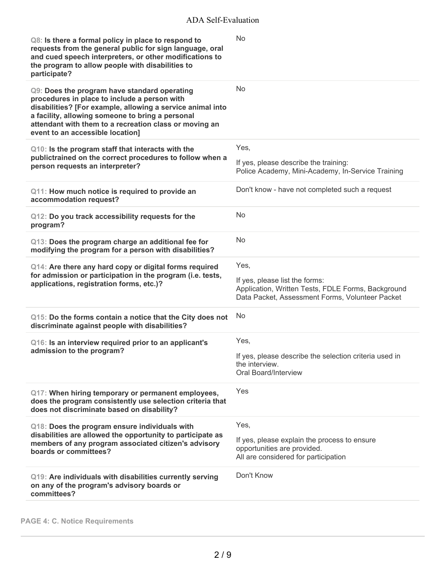| No<br>Q9: Does the program have standard operating<br>procedures in place to include a person with<br>disabilities? [For example, allowing a service animal into<br>a facility, allowing someone to bring a personal<br>attendant with them to a recreation class or moving an<br>event to an accessible location]<br>Yes,<br>Q10: Is the program staff that interacts with the<br>publictrained on the correct procedures to follow when a<br>If yes, please describe the training:<br>person requests an interpreter?<br>Police Academy, Mini-Academy, In-Service Training<br>Don't know - have not completed such a request<br>Q11: How much notice is required to provide an<br>accommodation request?<br>No<br>Q12: Do you track accessibility requests for the<br>program?<br>No<br>Q13: Does the program charge an additional fee for<br>modifying the program for a person with disabilities?<br>Yes,<br>Q14: Are there any hard copy or digital forms required<br>for admission or participation in the program (i.e. tests,<br>If yes, please list the forms:<br>applications, registration forms, etc.)?<br>Application, Written Tests, FDLE Forms, Background<br>Data Packet, Assessment Forms, Volunteer Packet<br><b>No</b><br>Q15: Do the forms contain a notice that the City does not<br>discriminate against people with disabilities?<br>Yes,<br>Q16: Is an interview required prior to an applicant's<br>admission to the program?<br>If yes, please describe the selection criteria used in<br>the interview.<br>Oral Board/Interview<br>Yes<br>Q17: When hiring temporary or permanent employees,<br>does the program consistently use selection criteria that<br>does not discriminate based on disability?<br>Yes,<br>Q18: Does the program ensure individuals with<br>disabilities are allowed the opportunity to participate as<br>If yes, please explain the process to ensure<br>members of any program associated citizen's advisory<br>opportunities are provided.<br>boards or committees?<br>All are considered for participation<br>Don't Know<br>Q19: Are individuals with disabilities currently serving<br>on any of the program's advisory boards or<br>committees? | Q8: Is there a formal policy in place to respond to<br>requests from the general public for sign language, oral<br>and cued speech interpreters, or other modifications to<br>the program to allow people with disabilities to<br>participate? | <b>No</b> |
|----------------------------------------------------------------------------------------------------------------------------------------------------------------------------------------------------------------------------------------------------------------------------------------------------------------------------------------------------------------------------------------------------------------------------------------------------------------------------------------------------------------------------------------------------------------------------------------------------------------------------------------------------------------------------------------------------------------------------------------------------------------------------------------------------------------------------------------------------------------------------------------------------------------------------------------------------------------------------------------------------------------------------------------------------------------------------------------------------------------------------------------------------------------------------------------------------------------------------------------------------------------------------------------------------------------------------------------------------------------------------------------------------------------------------------------------------------------------------------------------------------------------------------------------------------------------------------------------------------------------------------------------------------------------------------------------------------------------------------------------------------------------------------------------------------------------------------------------------------------------------------------------------------------------------------------------------------------------------------------------------------------------------------------------------------------------------------------------------------------------------------------------------------------------------------------------------------|------------------------------------------------------------------------------------------------------------------------------------------------------------------------------------------------------------------------------------------------|-----------|
|                                                                                                                                                                                                                                                                                                                                                                                                                                                                                                                                                                                                                                                                                                                                                                                                                                                                                                                                                                                                                                                                                                                                                                                                                                                                                                                                                                                                                                                                                                                                                                                                                                                                                                                                                                                                                                                                                                                                                                                                                                                                                                                                                                                                          |                                                                                                                                                                                                                                                |           |
|                                                                                                                                                                                                                                                                                                                                                                                                                                                                                                                                                                                                                                                                                                                                                                                                                                                                                                                                                                                                                                                                                                                                                                                                                                                                                                                                                                                                                                                                                                                                                                                                                                                                                                                                                                                                                                                                                                                                                                                                                                                                                                                                                                                                          |                                                                                                                                                                                                                                                |           |
|                                                                                                                                                                                                                                                                                                                                                                                                                                                                                                                                                                                                                                                                                                                                                                                                                                                                                                                                                                                                                                                                                                                                                                                                                                                                                                                                                                                                                                                                                                                                                                                                                                                                                                                                                                                                                                                                                                                                                                                                                                                                                                                                                                                                          |                                                                                                                                                                                                                                                |           |
|                                                                                                                                                                                                                                                                                                                                                                                                                                                                                                                                                                                                                                                                                                                                                                                                                                                                                                                                                                                                                                                                                                                                                                                                                                                                                                                                                                                                                                                                                                                                                                                                                                                                                                                                                                                                                                                                                                                                                                                                                                                                                                                                                                                                          |                                                                                                                                                                                                                                                |           |
|                                                                                                                                                                                                                                                                                                                                                                                                                                                                                                                                                                                                                                                                                                                                                                                                                                                                                                                                                                                                                                                                                                                                                                                                                                                                                                                                                                                                                                                                                                                                                                                                                                                                                                                                                                                                                                                                                                                                                                                                                                                                                                                                                                                                          |                                                                                                                                                                                                                                                |           |
|                                                                                                                                                                                                                                                                                                                                                                                                                                                                                                                                                                                                                                                                                                                                                                                                                                                                                                                                                                                                                                                                                                                                                                                                                                                                                                                                                                                                                                                                                                                                                                                                                                                                                                                                                                                                                                                                                                                                                                                                                                                                                                                                                                                                          |                                                                                                                                                                                                                                                |           |
|                                                                                                                                                                                                                                                                                                                                                                                                                                                                                                                                                                                                                                                                                                                                                                                                                                                                                                                                                                                                                                                                                                                                                                                                                                                                                                                                                                                                                                                                                                                                                                                                                                                                                                                                                                                                                                                                                                                                                                                                                                                                                                                                                                                                          |                                                                                                                                                                                                                                                |           |
|                                                                                                                                                                                                                                                                                                                                                                                                                                                                                                                                                                                                                                                                                                                                                                                                                                                                                                                                                                                                                                                                                                                                                                                                                                                                                                                                                                                                                                                                                                                                                                                                                                                                                                                                                                                                                                                                                                                                                                                                                                                                                                                                                                                                          |                                                                                                                                                                                                                                                |           |
|                                                                                                                                                                                                                                                                                                                                                                                                                                                                                                                                                                                                                                                                                                                                                                                                                                                                                                                                                                                                                                                                                                                                                                                                                                                                                                                                                                                                                                                                                                                                                                                                                                                                                                                                                                                                                                                                                                                                                                                                                                                                                                                                                                                                          |                                                                                                                                                                                                                                                |           |
|                                                                                                                                                                                                                                                                                                                                                                                                                                                                                                                                                                                                                                                                                                                                                                                                                                                                                                                                                                                                                                                                                                                                                                                                                                                                                                                                                                                                                                                                                                                                                                                                                                                                                                                                                                                                                                                                                                                                                                                                                                                                                                                                                                                                          |                                                                                                                                                                                                                                                |           |
|                                                                                                                                                                                                                                                                                                                                                                                                                                                                                                                                                                                                                                                                                                                                                                                                                                                                                                                                                                                                                                                                                                                                                                                                                                                                                                                                                                                                                                                                                                                                                                                                                                                                                                                                                                                                                                                                                                                                                                                                                                                                                                                                                                                                          |                                                                                                                                                                                                                                                |           |
|                                                                                                                                                                                                                                                                                                                                                                                                                                                                                                                                                                                                                                                                                                                                                                                                                                                                                                                                                                                                                                                                                                                                                                                                                                                                                                                                                                                                                                                                                                                                                                                                                                                                                                                                                                                                                                                                                                                                                                                                                                                                                                                                                                                                          |                                                                                                                                                                                                                                                |           |
|                                                                                                                                                                                                                                                                                                                                                                                                                                                                                                                                                                                                                                                                                                                                                                                                                                                                                                                                                                                                                                                                                                                                                                                                                                                                                                                                                                                                                                                                                                                                                                                                                                                                                                                                                                                                                                                                                                                                                                                                                                                                                                                                                                                                          |                                                                                                                                                                                                                                                |           |
|                                                                                                                                                                                                                                                                                                                                                                                                                                                                                                                                                                                                                                                                                                                                                                                                                                                                                                                                                                                                                                                                                                                                                                                                                                                                                                                                                                                                                                                                                                                                                                                                                                                                                                                                                                                                                                                                                                                                                                                                                                                                                                                                                                                                          |                                                                                                                                                                                                                                                |           |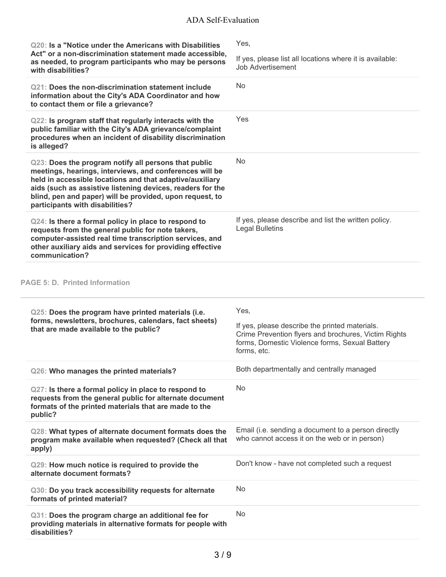| Q20: Is a "Notice under the Americans with Disabilities<br>Act" or a non-discrimination statement made accessible,<br>as needed, to program participants who may be persons<br>with disabilities?                                                                                                                                        | Yes,<br>If yes, please list all locations where it is available:<br><b>Job Advertisement</b>                                                                                    |
|------------------------------------------------------------------------------------------------------------------------------------------------------------------------------------------------------------------------------------------------------------------------------------------------------------------------------------------|---------------------------------------------------------------------------------------------------------------------------------------------------------------------------------|
| Q21: Does the non-discrimination statement include<br>information about the City's ADA Coordinator and how<br>to contact them or file a grievance?                                                                                                                                                                                       | No                                                                                                                                                                              |
| Q22: Is program staff that regularly interacts with the<br>public familiar with the City's ADA grievance/complaint<br>procedures when an incident of disability discrimination<br>is alleged?                                                                                                                                            | Yes                                                                                                                                                                             |
| Q23: Does the program notify all persons that public<br>meetings, hearings, interviews, and conferences will be<br>held in accessible locations and that adaptive/auxiliary<br>aids (such as assistive listening devices, readers for the<br>blind, pen and paper) will be provided, upon request, to<br>participants with disabilities? | <b>No</b>                                                                                                                                                                       |
| Q24: Is there a formal policy in place to respond to<br>requests from the general public for note takers,<br>computer-assisted real time transcription services, and<br>other auxiliary aids and services for providing effective<br>communication?                                                                                      | If yes, please describe and list the written policy.<br><b>Legal Bulletins</b>                                                                                                  |
| <b>PAGE 5: D. Printed Information</b>                                                                                                                                                                                                                                                                                                    |                                                                                                                                                                                 |
| Q25: Does the program have printed materials (i.e.<br>forms, newsletters, brochures, calendars, fact sheets)<br>that are made available to the public?                                                                                                                                                                                   | Yes,<br>If yes, please describe the printed materials.<br>Crime Prevention flyers and brochures, Victim Rights<br>forms, Domestic Violence forms, Sexual Battery<br>forms, etc. |
| Q26: Who manages the printed materials?                                                                                                                                                                                                                                                                                                  | Both departmentally and centrally managed                                                                                                                                       |
| Q27: Is there a formal policy in place to respond to<br>requests from the general public for alternate document<br>formats of the printed materials that are made to the<br>public?                                                                                                                                                      | <b>No</b>                                                                                                                                                                       |
| Q28: What types of alternate document formats does the<br>program make available when requested? (Check all that<br>apply)                                                                                                                                                                                                               | Email (i.e. sending a document to a person directly<br>who cannot access it on the web or in person)                                                                            |
| Q29: How much notice is required to provide the<br>alternate document formats?                                                                                                                                                                                                                                                           | Don't know - have not completed such a request                                                                                                                                  |
| Q30: Do you track accessibility requests for alternate<br>formats of printed material?                                                                                                                                                                                                                                                   | <b>No</b>                                                                                                                                                                       |
| Q31: Does the program charge an additional fee for<br>providing materials in alternative formats for people with                                                                                                                                                                                                                         | No                                                                                                                                                                              |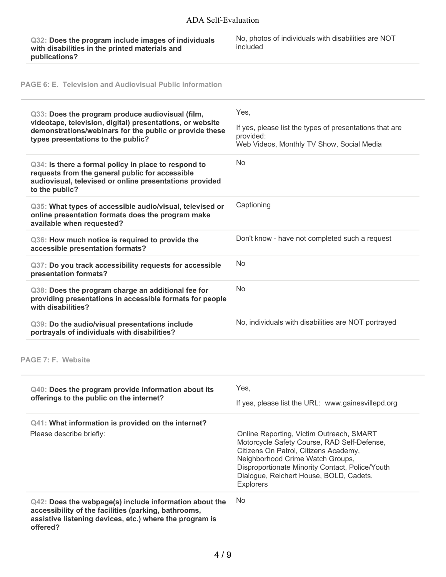**Q32: Does the program include images of individuals with disabilities in the printed materials and publications?**

No, photos of individuals with disabilities are NOT included

**PAGE 6: E. Television and Audiovisual Public Information**

| Q33: Does the program produce audiovisual (film,<br>videotape, television, digital) presentations, or website<br>demonstrations/webinars for the public or provide these<br>types presentations to the public? | Yes,<br>If yes, please list the types of presentations that are<br>provided:<br>Web Videos, Monthly TV Show, Social Media                                                                                                                                                              |
|----------------------------------------------------------------------------------------------------------------------------------------------------------------------------------------------------------------|----------------------------------------------------------------------------------------------------------------------------------------------------------------------------------------------------------------------------------------------------------------------------------------|
| Q34: Is there a formal policy in place to respond to<br>requests from the general public for accessible<br>audiovisual, televised or online presentations provided<br>to the public?                           | <b>No</b>                                                                                                                                                                                                                                                                              |
| Q35: What types of accessible audio/visual, televised or<br>online presentation formats does the program make<br>available when requested?                                                                     | Captioning                                                                                                                                                                                                                                                                             |
| Q36: How much notice is required to provide the<br>accessible presentation formats?                                                                                                                            | Don't know - have not completed such a request                                                                                                                                                                                                                                         |
| Q37: Do you track accessibility requests for accessible<br>presentation formats?                                                                                                                               | No                                                                                                                                                                                                                                                                                     |
| Q38: Does the program charge an additional fee for<br>providing presentations in accessible formats for people<br>with disabilities?                                                                           | <b>No</b>                                                                                                                                                                                                                                                                              |
| Q39: Do the audio/visual presentations include<br>portrayals of individuals with disabilities?                                                                                                                 | No, individuals with disabilities are NOT portrayed                                                                                                                                                                                                                                    |
| PAGE 7: F. Website                                                                                                                                                                                             |                                                                                                                                                                                                                                                                                        |
| Q40: Does the program provide information about its<br>offerings to the public on the internet?                                                                                                                | Yes,<br>If yes, please list the URL: www.gainesvillepd.org                                                                                                                                                                                                                             |
| Q41: What information is provided on the internet?<br>Please describe briefly:                                                                                                                                 | Online Reporting, Victim Outreach, SMART<br>Motorcycle Safety Course, RAD Self-Defense,<br>Citizens On Patrol, Citizens Academy,<br>Neighborhood Crime Watch Groups,<br>Disproportionate Minority Contact, Police/Youth<br>Dialogue, Reichert House, BOLD, Cadets,<br><b>Explorers</b> |
| Q42: Does the webpage(s) include information about the<br>accessibility of the facilities (parking, bathrooms,<br>assistive listening devices, etc.) where the program is<br>offered?                          | No                                                                                                                                                                                                                                                                                     |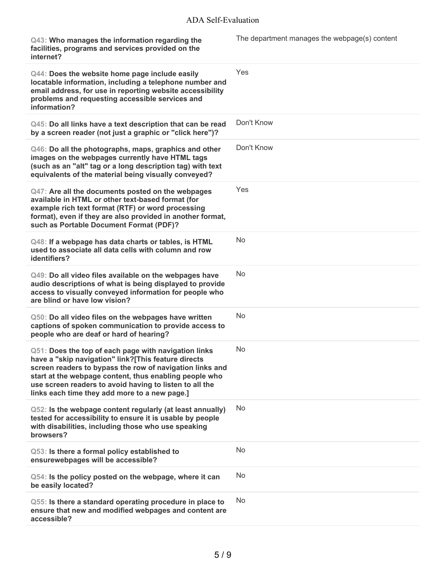| Q43: Who manages the information regarding the<br>facilities, programs and services provided on the<br>internet?                                                                                                                                                                                                                              | The department manages the webpage(s) content |
|-----------------------------------------------------------------------------------------------------------------------------------------------------------------------------------------------------------------------------------------------------------------------------------------------------------------------------------------------|-----------------------------------------------|
| Q44: Does the website home page include easily<br>locatable information, including a telephone number and<br>email address, for use in reporting website accessibility<br>problems and requesting accessible services and<br>information?                                                                                                     | Yes                                           |
| Q45: Do all links have a text description that can be read<br>by a screen reader (not just a graphic or "click here")?                                                                                                                                                                                                                        | Don't Know                                    |
| Q46: Do all the photographs, maps, graphics and other<br>images on the webpages currently have HTML tags<br>(such as an "alt" tag or a long description tag) with text<br>equivalents of the material being visually conveyed?                                                                                                                | Don't Know                                    |
| Q47: Are all the documents posted on the webpages<br>available in HTML or other text-based format (for<br>example rich text format (RTF) or word processing<br>format), even if they are also provided in another format,<br>such as Portable Document Format (PDF)?                                                                          | Yes                                           |
| Q48: If a webpage has data charts or tables, is HTML<br>used to associate all data cells with column and row<br>identifiers?                                                                                                                                                                                                                  | No.                                           |
| Q49: Do all video files available on the webpages have<br>audio descriptions of what is being displayed to provide<br>access to visually conveyed information for people who<br>are blind or have low vision?                                                                                                                                 | <b>No</b>                                     |
| Q50: Do all video files on the webpages have written<br>captions of spoken communication to provide access to<br>people who are deaf or hard of hearing?                                                                                                                                                                                      | No                                            |
| Q51: Does the top of each page with navigation links<br>have a "skip navigation" link?[This feature directs<br>screen readers to bypass the row of navigation links and<br>start at the webpage content, thus enabling people who<br>use screen readers to avoid having to listen to all the<br>links each time they add more to a new page.] | No                                            |
| Q52: Is the webpage content regularly (at least annually)<br>tested for accessibility to ensure it is usable by people<br>with disabilities, including those who use speaking<br>browsers?                                                                                                                                                    | <b>No</b>                                     |
| Q53: Is there a formal policy established to<br>ensurewebpages will be accessible?                                                                                                                                                                                                                                                            | No                                            |
| Q54: Is the policy posted on the webpage, where it can<br>be easily located?                                                                                                                                                                                                                                                                  | No                                            |
| Q55: Is there a standard operating procedure in place to<br>ensure that new and modified webpages and content are<br>accessible?                                                                                                                                                                                                              | N <sub>o</sub>                                |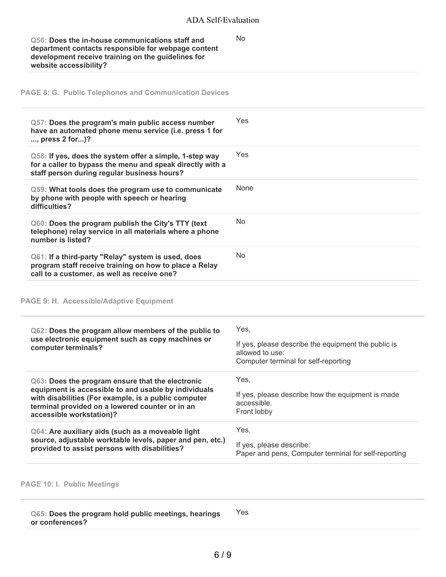No

**Q56: Does the in-house communications staff and department contacts responsible for webpage content development receive training on the guidelines for website accessibility?**

**PAGE 8: G. Public Telephones and Communication Devices**

| Q57: Does the program's main public access number<br>have an automated phone menu service (i.e. press 1 for<br>, press 2 for)?                                                                                                                  | Yes                                                                                                                    |
|-------------------------------------------------------------------------------------------------------------------------------------------------------------------------------------------------------------------------------------------------|------------------------------------------------------------------------------------------------------------------------|
| Q58: If yes, does the system offer a simple, 1-step way<br>for a caller to bypass the menu and speak directly with a<br>staff person during regular business hours?                                                                             | Yes                                                                                                                    |
| Q59: What tools does the program use to communicate<br>by phone with people with speech or hearing<br>difficulties?                                                                                                                             | None                                                                                                                   |
| Q60: Does the program publish the City's TTY (text<br>telephone) relay service in all materials where a phone<br>number is listed?                                                                                                              | No                                                                                                                     |
| Q61: If a third-party "Relay" system is used, does<br>program staff receive training on how to place a Relay<br>call to a customer, as well as receive one?                                                                                     | No                                                                                                                     |
| PAGE 9: H. Accessible/Adaptive Equipment                                                                                                                                                                                                        |                                                                                                                        |
| Q62: Does the program allow members of the public to<br>use electronic equipment such as copy machines or<br>computer terminals?                                                                                                                | Yes,<br>If yes, please describe the equipment the public is<br>allowed to use:<br>Computer terminal for self-reporting |
| Q63: Does the program ensure that the electronic<br>equipment is accessible to and usable by individuals<br>with disabilities (For example, is a public computer<br>terminal provided on a lowered counter or in an<br>accessible workstation)? | Yes,<br>If yes, please describe how the equipment is made<br>accessible.<br>Front lobby                                |
| Q64: Are auxiliary aids (such as a moveable light<br>source, adjustable worktable levels, paper and pen, etc.)<br>provided to assist persons with disabilities?                                                                                 | Yes,<br>If yes, please describe:<br>Paper and pens, Computer terminal for self-reporting                               |
|                                                                                                                                                                                                                                                 |                                                                                                                        |

#### **PAGE 10: I. Public Meetings**

**Q65: Does the program hold public meetings, hearings or conferences?** Yes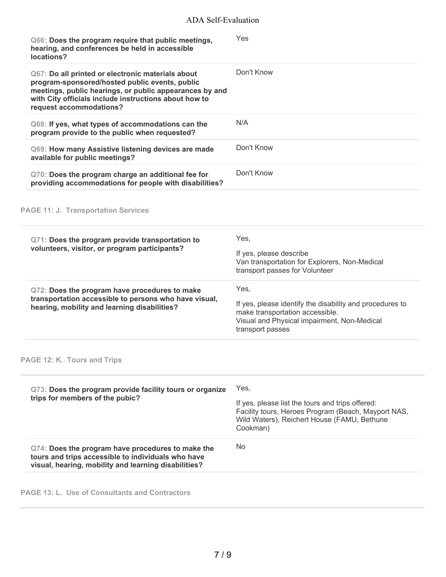# ADA Self-Evaluation

| Q66: Does the program require that public meetings,<br>hearing, and conferences be held in accessible<br>locations?                                                                                                                                | Yes                                                                                                                                                                        |
|----------------------------------------------------------------------------------------------------------------------------------------------------------------------------------------------------------------------------------------------------|----------------------------------------------------------------------------------------------------------------------------------------------------------------------------|
| Q67: Do all printed or electronic materials about<br>program-sponsored/hosted public events, public<br>meetings, public hearings, or public appearances by and<br>with City officials include instructions about how to<br>request accommodations? | Don't Know                                                                                                                                                                 |
| Q68: If yes, what types of accommodations can the<br>program provide to the public when requested?                                                                                                                                                 | N/A                                                                                                                                                                        |
| Q69: How many Assistive listening devices are made<br>available for public meetings?                                                                                                                                                               | Don't Know                                                                                                                                                                 |
| Q70: Does the program charge an additional fee for<br>providing accommodations for people with disabilities?                                                                                                                                       | Don't Know                                                                                                                                                                 |
| <b>PAGE 11: J. Transportation Services</b>                                                                                                                                                                                                         |                                                                                                                                                                            |
| Q71: Does the program provide transportation to<br>volunteers, visitor, or program participants?                                                                                                                                                   | Yes,<br>If yes, please describe<br>Van transportation for Explorers, Non-Medical<br>transport passes for Volunteer                                                         |
| Q72: Does the program have procedures to make<br>transportation accessible to persons who have visual,<br>hearing, mobility and learning disabilities?                                                                                             | Yes,<br>If yes, please identify the disability and procedures to<br>make transportation accessible.<br>Visual and Physical impairment, Non-Medical<br>transport passes     |
| PAGE 12: K. Tours and Trips                                                                                                                                                                                                                        |                                                                                                                                                                            |
| Q73: Does the program provide facility tours or organize<br>trips for members of the pubic?                                                                                                                                                        | Yes,<br>If yes, please list the tours and trips offered:<br>Facility tours, Heroes Program (Beach, Mayport NAS,<br>Wild Waters), Reichert House (FAMU, Bethune<br>Cookman) |
| Q74: Does the program have procedures to make the<br>tours and trips accessible to individuals who have<br>visual, hearing, mobility and learning disabilities?                                                                                    | No                                                                                                                                                                         |

**PAGE 13: L. Use of Consultants and Contractors**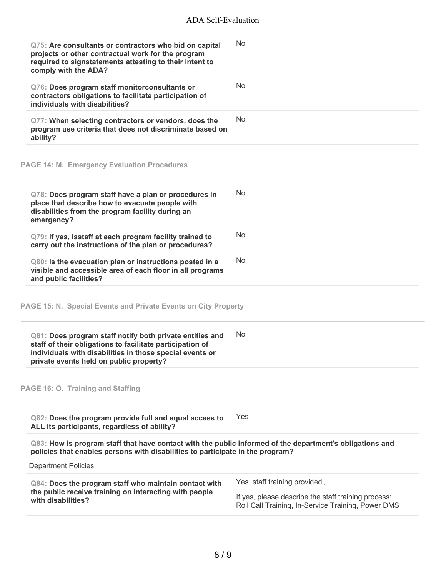| Q75: Are consultants or contractors who bid on capital<br>projects or other contractual work for the program<br>required to signstatements attesting to their intent to<br>comply with the ADA?                              | <b>No</b>                                                                                                                                  |
|------------------------------------------------------------------------------------------------------------------------------------------------------------------------------------------------------------------------------|--------------------------------------------------------------------------------------------------------------------------------------------|
| Q76: Does program staff monitorconsultants or<br>contractors obligations to facilitate participation of<br>individuals with disabilities?                                                                                    | <b>No</b>                                                                                                                                  |
| Q77: When selecting contractors or vendors, does the<br>program use criteria that does not discriminate based on<br>ability?                                                                                                 | <b>No</b>                                                                                                                                  |
| <b>PAGE 14: M. Emergency Evaluation Procedures</b>                                                                                                                                                                           |                                                                                                                                            |
| Q78: Does program staff have a plan or procedures in<br>place that describe how to evacuate people with<br>disabilities from the program facility during an<br>emergency?                                                    | No                                                                                                                                         |
| Q79: If yes, isstaff at each program facility trained to<br>carry out the instructions of the plan or procedures?                                                                                                            | No.                                                                                                                                        |
| Q80: Is the evacuation plan or instructions posted in a<br>visible and accessible area of each floor in all programs<br>and public facilities?                                                                               | <b>No</b>                                                                                                                                  |
| PAGE 15: N. Special Events and Private Events on City Property                                                                                                                                                               |                                                                                                                                            |
| Q81: Does program staff notify both private entities and<br>staff of their obligations to facilitate participation of<br>individuals with disabilities in those special events or<br>private events held on public property? | No                                                                                                                                         |
| PAGE 16: O. Training and Staffing                                                                                                                                                                                            |                                                                                                                                            |
| Q82: Does the program provide full and equal access to<br>ALL its participants, regardless of ability?                                                                                                                       | Yes                                                                                                                                        |
| Q83: How is program staff that have contact with the public informed of the department's obligations and<br>policies that enables persons with disabilities to participate in the program?                                   |                                                                                                                                            |
| <b>Department Policies</b>                                                                                                                                                                                                   |                                                                                                                                            |
| Q84: Does the program staff who maintain contact with<br>the public receive training on interacting with people<br>with disabilities?                                                                                        | Yes, staff training provided,<br>If yes, please describe the staff training process:<br>Roll Call Training, In-Service Training, Power DMS |
|                                                                                                                                                                                                                              |                                                                                                                                            |